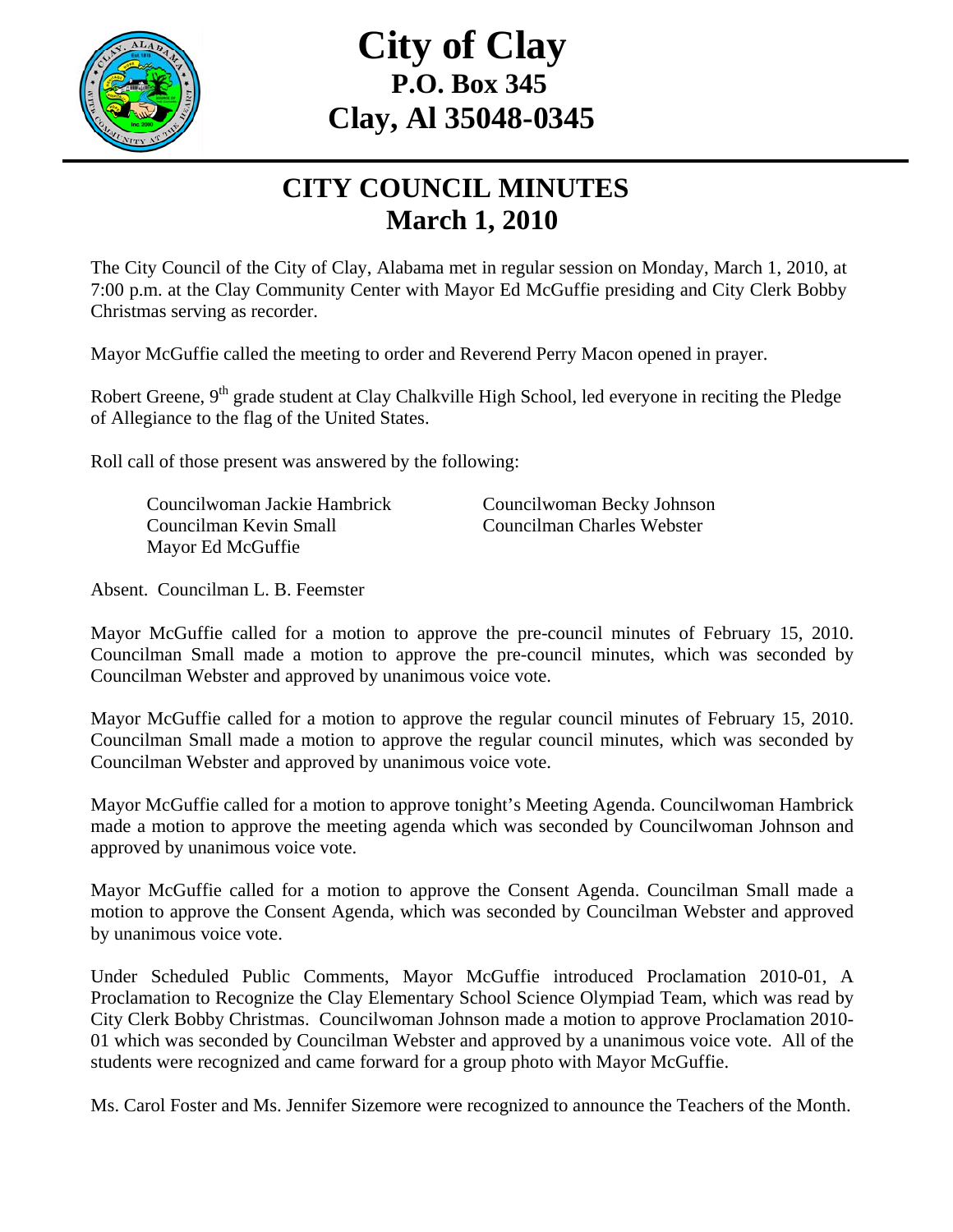

## **City of Clay P.O. Box 345 Clay, Al 35048-0345**

## **CITY COUNCIL MINUTES March 1, 2010**

The City Council of the City of Clay, Alabama met in regular session on Monday, March 1, 2010, at 7:00 p.m. at the Clay Community Center with Mayor Ed McGuffie presiding and City Clerk Bobby Christmas serving as recorder.

Mayor McGuffie called the meeting to order and Reverend Perry Macon opened in prayer.

Robert Greene, 9<sup>th</sup> grade student at Clay Chalkville High School, led everyone in reciting the Pledge of Allegiance to the flag of the United States.

Roll call of those present was answered by the following:

Councilwoman Jackie Hambrick Councilwoman Becky Johnson Councilman Kevin Small Councilman Charles Webster Mayor Ed McGuffie

Absent. Councilman L. B. Feemster

Mayor McGuffie called for a motion to approve the pre-council minutes of February 15, 2010. Councilman Small made a motion to approve the pre-council minutes, which was seconded by Councilman Webster and approved by unanimous voice vote.

Mayor McGuffie called for a motion to approve the regular council minutes of February 15, 2010. Councilman Small made a motion to approve the regular council minutes, which was seconded by Councilman Webster and approved by unanimous voice vote.

Mayor McGuffie called for a motion to approve tonight's Meeting Agenda. Councilwoman Hambrick made a motion to approve the meeting agenda which was seconded by Councilwoman Johnson and approved by unanimous voice vote.

Mayor McGuffie called for a motion to approve the Consent Agenda. Councilman Small made a motion to approve the Consent Agenda, which was seconded by Councilman Webster and approved by unanimous voice vote.

Under Scheduled Public Comments, Mayor McGuffie introduced Proclamation 2010-01, A Proclamation to Recognize the Clay Elementary School Science Olympiad Team, which was read by City Clerk Bobby Christmas. Councilwoman Johnson made a motion to approve Proclamation 2010- 01 which was seconded by Councilman Webster and approved by a unanimous voice vote. All of the students were recognized and came forward for a group photo with Mayor McGuffie.

Ms. Carol Foster and Ms. Jennifer Sizemore were recognized to announce the Teachers of the Month.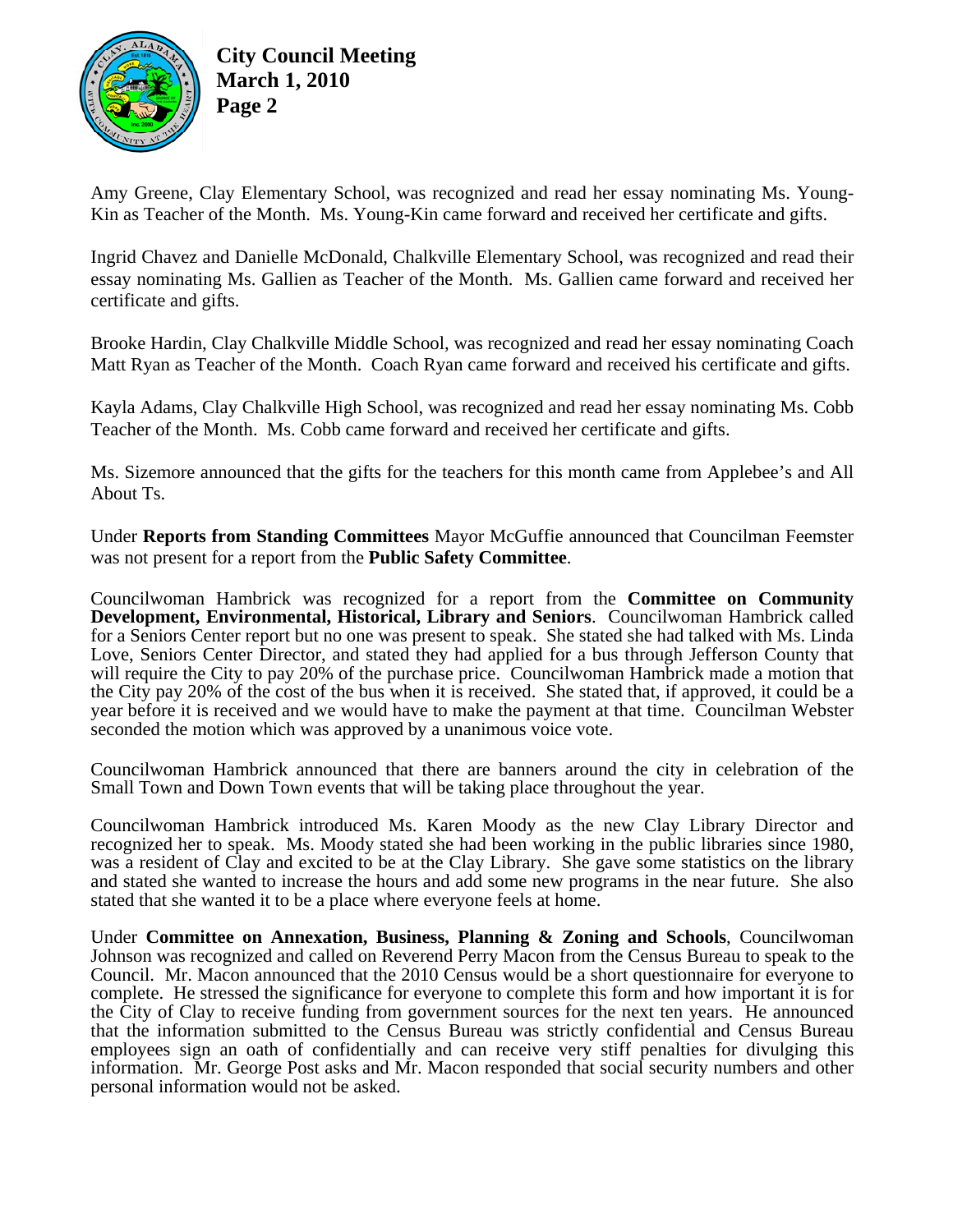

**City Council Meeting March 1, 2010 Page 2** 

Amy Greene, Clay Elementary School, was recognized and read her essay nominating Ms. Young-Kin as Teacher of the Month. Ms. Young-Kin came forward and received her certificate and gifts.

Ingrid Chavez and Danielle McDonald, Chalkville Elementary School, was recognized and read their essay nominating Ms. Gallien as Teacher of the Month. Ms. Gallien came forward and received her certificate and gifts.

Brooke Hardin, Clay Chalkville Middle School, was recognized and read her essay nominating Coach Matt Ryan as Teacher of the Month. Coach Ryan came forward and received his certificate and gifts.

Kayla Adams, Clay Chalkville High School, was recognized and read her essay nominating Ms. Cobb Teacher of the Month. Ms. Cobb came forward and received her certificate and gifts.

Ms. Sizemore announced that the gifts for the teachers for this month came from Applebee's and All About Ts.

Under **Reports from Standing Committees** Mayor McGuffie announced that Councilman Feemster was not present for a report from the **Public Safety Committee**.

Councilwoman Hambrick was recognized for a report from the **Committee on Community Development, Environmental, Historical, Library and Seniors**. Councilwoman Hambrick called for a Seniors Center report but no one was present to speak. She stated she had talked with Ms. Linda Love, Seniors Center Director, and stated they had applied for a bus through Jefferson County that will require the City to pay 20% of the purchase price. Councilwoman Hambrick made a motion that the City pay 20% of the cost of the bus when it is received. She stated that, if approved, it could be a year before it is received and we would have to make the payment at that time. Councilman Webster seconded the motion which was approved by a unanimous voice vote.

Councilwoman Hambrick announced that there are banners around the city in celebration of the Small Town and Down Town events that will be taking place throughout the year.

Councilwoman Hambrick introduced Ms. Karen Moody as the new Clay Library Director and recognized her to speak. Ms. Moody stated she had been working in the public libraries since 1980, was a resident of Clay and excited to be at the Clay Library. She gave some statistics on the library and stated she wanted to increase the hours and add some new programs in the near future. She also stated that she wanted it to be a place where everyone feels at home.

Under **Committee on Annexation, Business, Planning & Zoning and Schools**, Councilwoman Johnson was recognized and called on Reverend Perry Macon from the Census Bureau to speak to the Council. Mr. Macon announced that the 2010 Census would be a short questionnaire for everyone to complete. He stressed the significance for everyone to complete this form and how important it is for the City of Clay to receive funding from government sources for the next ten years. He announced that the information submitted to the Census Bureau was strictly confidential and Census Bureau employees sign an oath of confidentially and can receive very stiff penalties for divulging this information. Mr. George Post asks and Mr. Macon responded that social security numbers and other personal information would not be asked.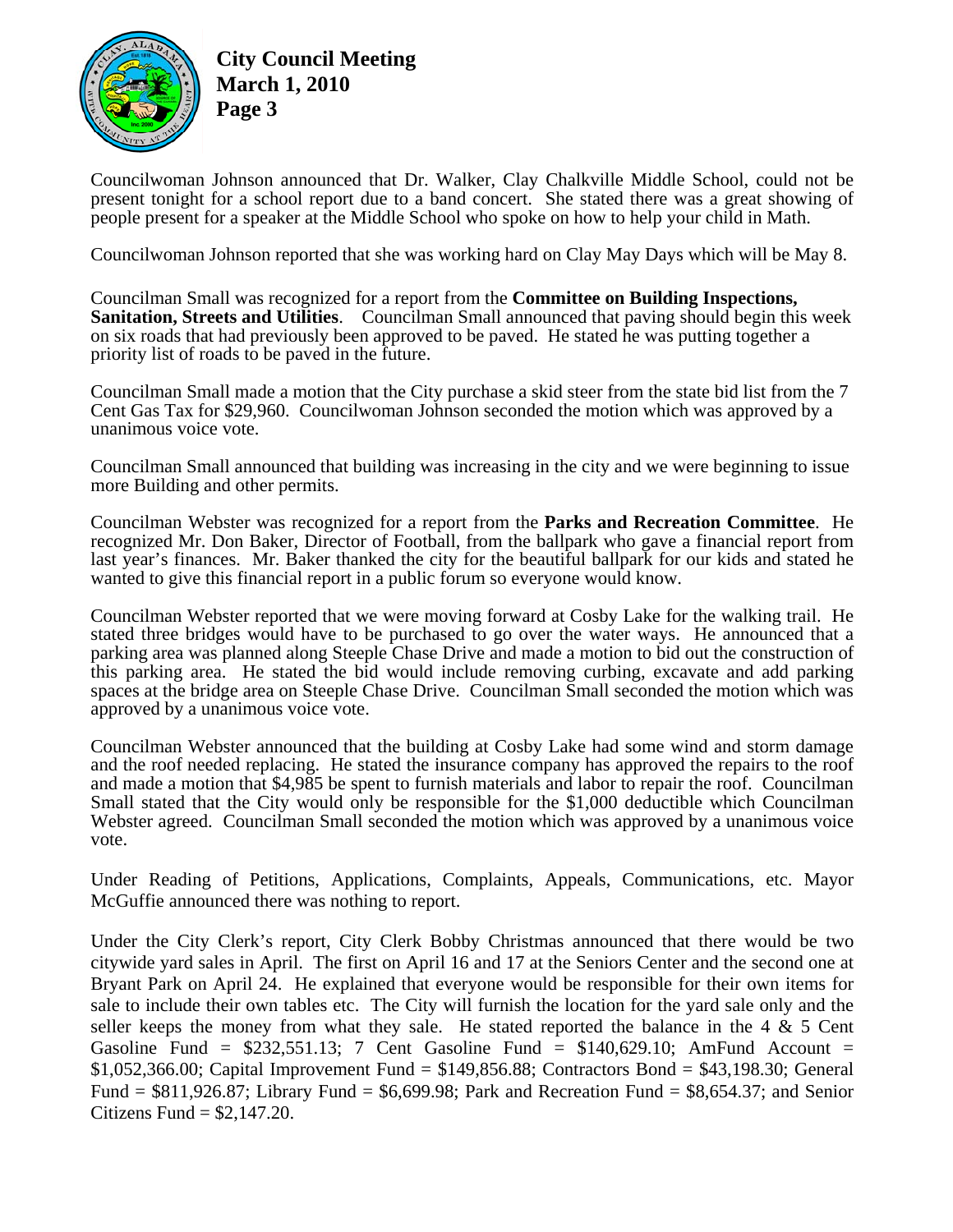

**City Council Meeting March 1, 2010 Page 3** 

Councilwoman Johnson announced that Dr. Walker, Clay Chalkville Middle School, could not be present tonight for a school report due to a band concert. She stated there was a great showing of people present for a speaker at the Middle School who spoke on how to help your child in Math.

Councilwoman Johnson reported that she was working hard on Clay May Days which will be May 8.

Councilman Small was recognized for a report from the **Committee on Building Inspections, Sanitation, Streets and Utilities**. Councilman Small announced that paving should begin this week on six roads that had previously been approved to be paved. He stated he was putting together a priority list of roads to be paved in the future.

Councilman Small made a motion that the City purchase a skid steer from the state bid list from the 7 Cent Gas Tax for \$29,960. Councilwoman Johnson seconded the motion which was approved by a unanimous voice vote.

Councilman Small announced that building was increasing in the city and we were beginning to issue more Building and other permits.

Councilman Webster was recognized for a report from the **Parks and Recreation Committee**. He recognized Mr. Don Baker, Director of Football, from the ballpark who gave a financial report from last year's finances. Mr. Baker thanked the city for the beautiful ballpark for our kids and stated he wanted to give this financial report in a public forum so everyone would know.

Councilman Webster reported that we were moving forward at Cosby Lake for the walking trail. He stated three bridges would have to be purchased to go over the water ways. He announced that a parking area was planned along Steeple Chase Drive and made a motion to bid out the construction of this parking area. He stated the bid would include removing curbing, excavate and add parking spaces at the bridge area on Steeple Chase Drive. Councilman Small seconded the motion which was approved by a unanimous voice vote.

Councilman Webster announced that the building at Cosby Lake had some wind and storm damage and the roof needed replacing. He stated the insurance company has approved the repairs to the roof and made a motion that \$4,985 be spent to furnish materials and labor to repair the roof. Councilman Small stated that the City would only be responsible for the \$1,000 deductible which Councilman Webster agreed. Councilman Small seconded the motion which was approved by a unanimous voice vote.

Under Reading of Petitions, Applications, Complaints, Appeals, Communications, etc. Mayor McGuffie announced there was nothing to report.

Under the City Clerk's report, City Clerk Bobby Christmas announced that there would be two citywide yard sales in April. The first on April 16 and 17 at the Seniors Center and the second one at Bryant Park on April 24. He explained that everyone would be responsible for their own items for sale to include their own tables etc. The City will furnish the location for the yard sale only and the seller keeps the money from what they sale. He stated reported the balance in the 4  $\&$  5 Cent Gasoline Fund =  $$232,551.13$ ; 7 Cent Gasoline Fund =  $$140,629.10$ ; AmFund Account = \$1,052,366.00; Capital Improvement Fund = \$149,856.88; Contractors Bond = \$43,198.30; General Fund =  $$811,926.87$ ; Library Fund =  $$6,699.98$ ; Park and Recreation Fund =  $$8,654.37$ ; and Senior Citizens Fund  $=$  \$2,147.20.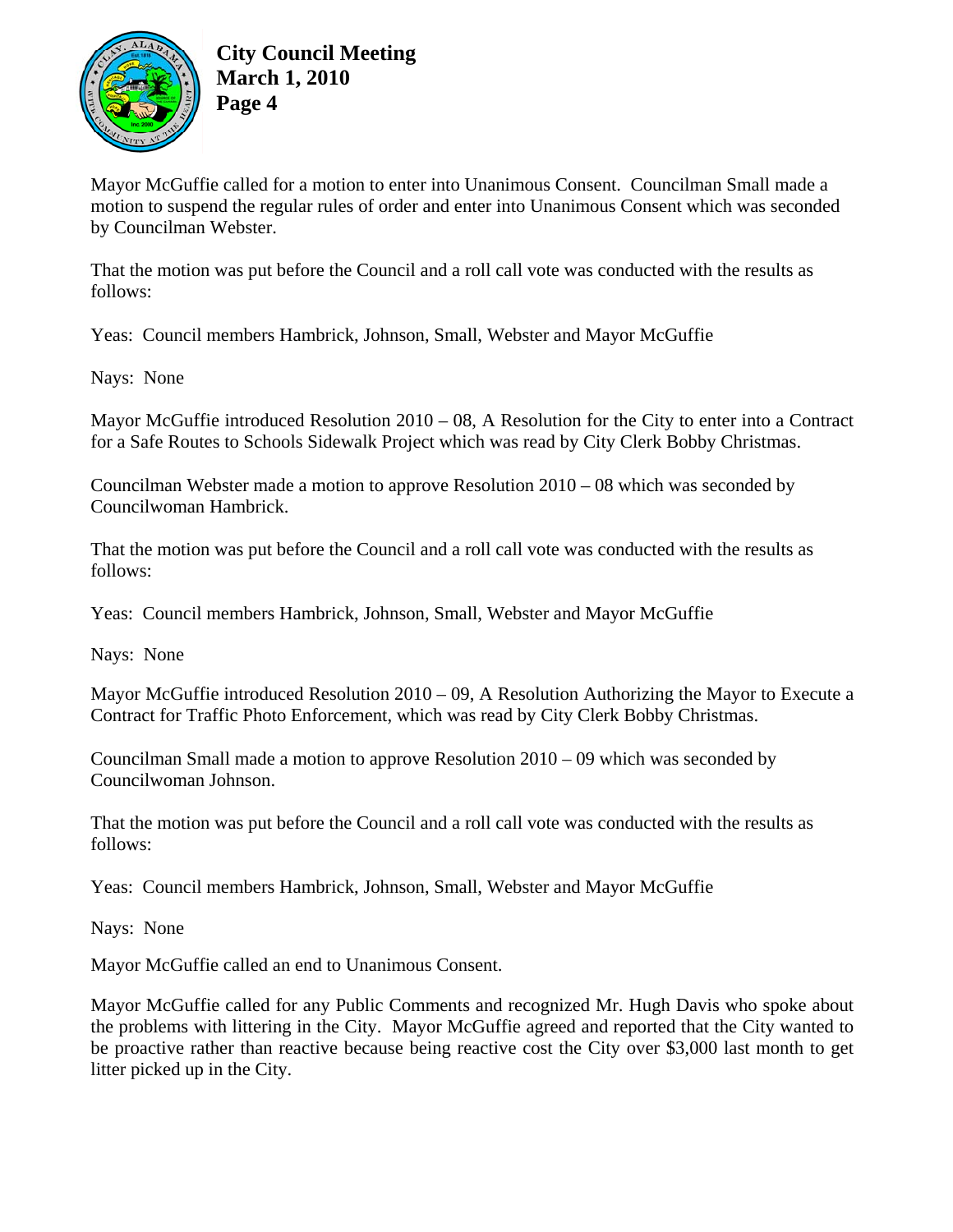

Mayor McGuffie called for a motion to enter into Unanimous Consent. Councilman Small made a motion to suspend the regular rules of order and enter into Unanimous Consent which was seconded by Councilman Webster.

That the motion was put before the Council and a roll call vote was conducted with the results as follows:

Yeas: Council members Hambrick, Johnson, Small, Webster and Mayor McGuffie

Nays: None

Mayor McGuffie introduced Resolution 2010 – 08, A Resolution for the City to enter into a Contract for a Safe Routes to Schools Sidewalk Project which was read by City Clerk Bobby Christmas.

Councilman Webster made a motion to approve Resolution 2010 – 08 which was seconded by Councilwoman Hambrick.

That the motion was put before the Council and a roll call vote was conducted with the results as follows:

Yeas: Council members Hambrick, Johnson, Small, Webster and Mayor McGuffie

Nays: None

Mayor McGuffie introduced Resolution 2010 – 09, A Resolution Authorizing the Mayor to Execute a Contract for Traffic Photo Enforcement, which was read by City Clerk Bobby Christmas.

Councilman Small made a motion to approve Resolution 2010 – 09 which was seconded by Councilwoman Johnson.

That the motion was put before the Council and a roll call vote was conducted with the results as follows:

Yeas: Council members Hambrick, Johnson, Small, Webster and Mayor McGuffie

Nays: None

Mayor McGuffie called an end to Unanimous Consent.

Mayor McGuffie called for any Public Comments and recognized Mr. Hugh Davis who spoke about the problems with littering in the City. Mayor McGuffie agreed and reported that the City wanted to be proactive rather than reactive because being reactive cost the City over \$3,000 last month to get litter picked up in the City.